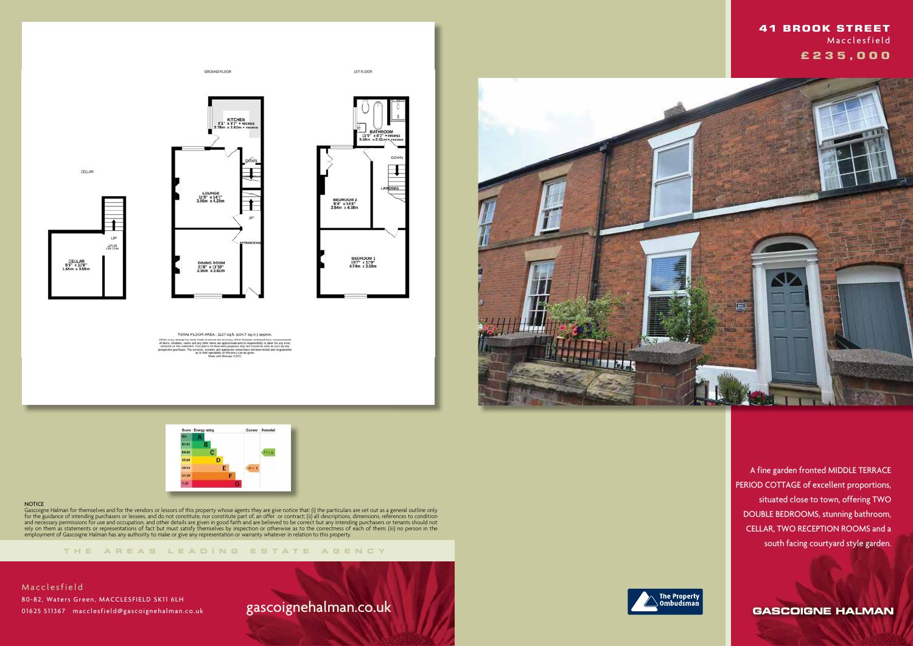



GROUND FLOOR

LOUNGE<br>11'8" x 14'1"<br>3.56m x 4.28n

DINING ROOM<br>11'8" x 11'10"<br>3.56m x 3.61m

TOTAL FLOOR AREA: 1127 sq.ft. (104.7 sq.m.) approx.

KITCHEN<br>9'1" x 8'7" + recess<br>2.78m x 2.62m + reces

1ST FLOOR

 $119 - x83$ <br>58m  $x2.51r$ 

BEDROOM 2<br>9'4" x 14'4"<br>2.84m x 4.38m

BEDROOM 1<br>15'7" x 11'9"<br>4.74m x 3.59m

∓

LANDING

#### **NOTICE**

**THE AREA S LEADING ES T A TE A G E N C Y**

Gascoigne Halman for themselves and for the vendors or lessors of this property whose agents they are give notice that: (i) the particulars are set out as a general outline only for the guidance of intending purchasers or lessees, and do not constitute, nor constitute part of, an offer or contract; (ii) all descriptions, dimensions, references to condition and necessary permissions for use and occupation, and other details are given in good faith and are believed to be correct but any intending purchasers or tenants should not rely on them as statements or representations of fact but must satisfy themselves by inspection or otherwise as to the correctness of each of them; (iii) no person in the employment of Gascoigne Halman has any authority to make or give any representation or warranty whatever in relation to this property.

# gascoignehalman.co.uk





CELLAR

CELLAR<br>55" x 11'8"<br>1.65m x 3.55m

**UP**  $\frac{1001.48}{1000}$ 

> A fine garden fronted MIDDLE TERRACE PERIOD COTTAGE of excellent proportions, situated close to town, offering TWO DOUBLE BEDROOMS, stunning bathroom, CELLAR, TWO RECEPTION ROOMS and a south facing courtyard style garden.

> > **GASCOIGNE HALMAN**

 **41 BROOK STREET Macclesfield £ 2 3 5 , 0 0 0**